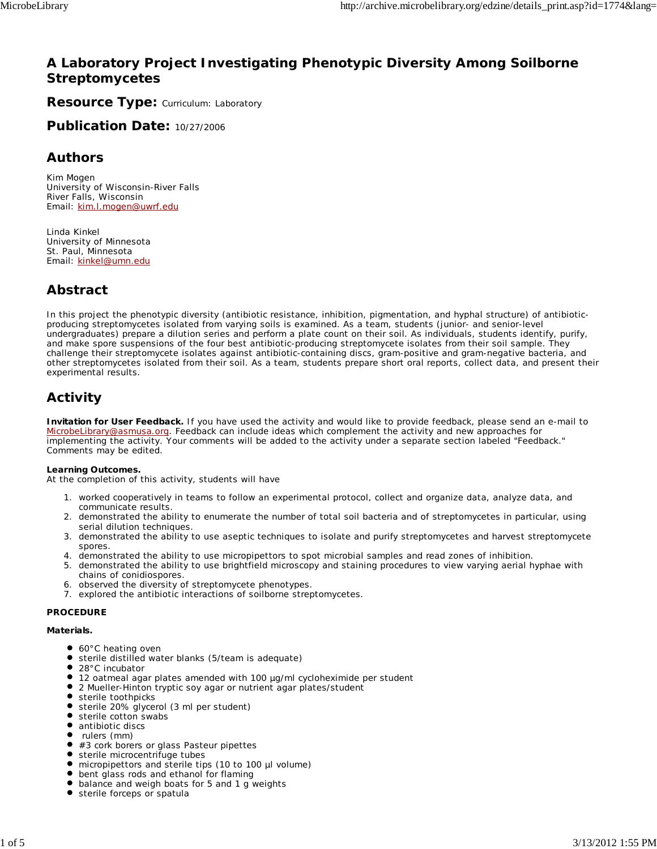# **A Laboratory Project Investigating Phenotypic Diversity Among Soilborne Streptomycetes**

**Resource Type: Curriculum: Laboratory** 

**Publication Date:** 10/27/2006

# **Authors**

*Kim Mogen* University of Wisconsin-River Falls River Falls, Wisconsin Email: kim.l.mogen@uwrf.edu

*Linda Kinkel* University of Minnesota St. Paul, Minnesota Email: kinkel@umn.edu

# **Abstract**

In this project the phenotypic diversity (antibiotic resistance, inhibition, pigmentation, and hyphal structure) of antibioticproducing streptomycetes isolated from varying soils is examined. As a team, students (junior- and senior-level undergraduates) prepare a dilution series and perform a plate count on their soil. As individuals, students identify, purify, and make spore suspensions of the four best antibiotic-producing streptomycete isolates from their soil sample. They challenge their streptomycete isolates against antibiotic-containing discs, gram-positive and gram-negative bacteria, and other streptomycetes isolated from their soil. As a team, students prepare short oral reports, collect data, and present their experimental results.

# **Activity**

**Invitation for User Feedback.** If you have used the activity and would like to provide feedback, please send an e-mail to MicrobeLibrary@asmusa.org. Feedback can include ideas which complement the activity and new approaches for implementing the activity. Your comments will be added to the activity under a separate section labeled "Feedback." Comments may be edited.

#### **Learning Outcomes.**

At the completion of this activity, students will have

- 1. worked cooperatively in teams to follow an experimental protocol, collect and organize data, analyze data, and communicate results.
- 2. demonstrated the ability to enumerate the number of total soil bacteria and of streptomycetes in particular, using serial dilution techniques.
- 3. demonstrated the ability to use aseptic techniques to isolate and purify streptomycetes and harvest streptomycete spores.
- 4. demonstrated the ability to use micropipettors to spot microbial samples and read zones of inhibition.
- 5. demonstrated the ability to use brightfield microscopy and staining procedures to view varying aerial hyphae with chains of conidiospores.
- 6. observed the diversity of streptomycete phenotypes.
- 7. explored the antibiotic interactions of soilborne streptomycetes.

### **PROCEDURE**

**Materials.**

- 60°C heating oven
- sterile distilled water blanks (5/team is adequate)
- 28°C incubator
- 12 oatmeal agar plates amended with 100 µg/ml cycloheximide per student
- 2 Mueller-Hinton tryptic soy agar or nutrient agar plates/student
- **•** sterile toothpicks
- sterile 20% glycerol (3 ml per student)
- sterile cotton swabs
- $\bullet$  antibiotic discs
- $\bullet$ rulers (mm)
- #3 cork borers or glass Pasteur pipettes
- sterile microcentrifuge tubes
- $\bullet$ micropipettors and sterile tips (10 to 100 µl volume)
- bent glass rods and ethanol for flaming balance and weigh boats for 5 and 1 g weights
- $\bullet$ sterile forceps or spatula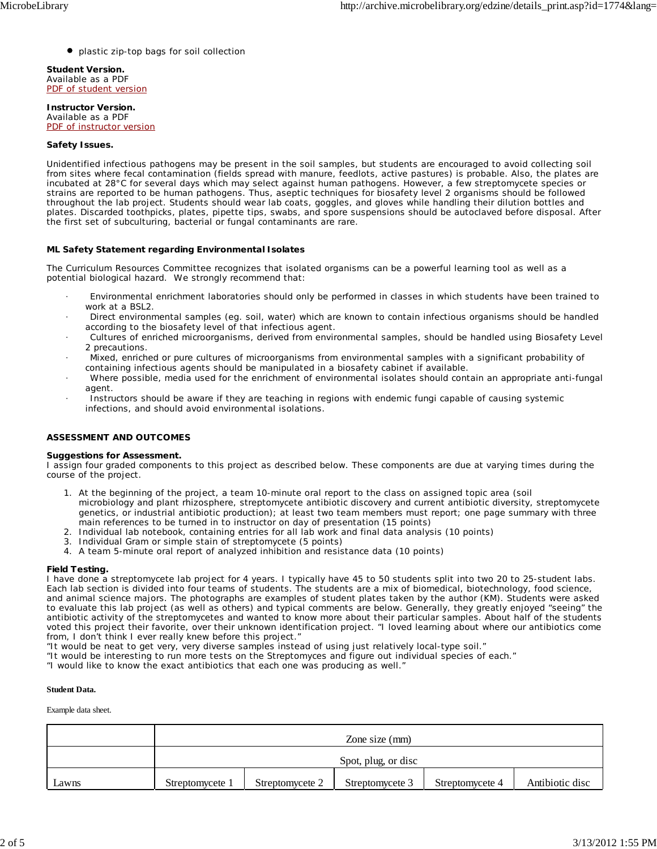plastic zip-top bags for soil collection

**Student Version.** Available as a PDF PDF of student version

**Instructor Version.** Available as a PDF PDF of instructor version

#### **Safety Issues.**

Unidentified infectious pathogens may be present in the soil samples, but students are encouraged to avoid collecting soil from sites where fecal contamination (fields spread with manure, feedlots, active pastures) is probable. Also, the plates are incubated at 28°C for several days which may select against human pathogens. However, a few streptomycete species or strains are reported to be human pathogens. Thus, aseptic techniques for biosafety level 2 organisms should be followed throughout the lab project. Students should wear lab coats, goggles, and gloves while handling their dilution bottles and plates. Discarded toothpicks, plates, pipette tips, swabs, and spore suspensions should be autoclaved before disposal. After the first set of subculturing, bacterial or fungal contaminants are rare.

#### **ML Safety Statement regarding Environmental Isolates**

The Curriculum Resources Committee recognizes that isolated organisms can be a powerful learning tool as well as a potential biological hazard. We strongly recommend that:

- · Environmental enrichment laboratories should only be performed in classes in which students have been trained to work at a BSL2.
- · Direct environmental samples (eg. soil, water) which are known to contain infectious organisms should be handled according to the biosafety level of that infectious agent.
- · Cultures of enriched microorganisms, derived from environmental samples, should be handled using Biosafety Level 2 precautions.
- · Mixed, enriched or pure cultures of microorganisms from environmental samples with a significant probability of containing infectious agents should be manipulated in a biosafety cabinet if available.
- · Where possible, media used for the enrichment of environmental isolates should contain an appropriate anti-fungal agent.
- Instructors should be aware if they are teaching in regions with endemic fungi capable of causing systemic infections, and should avoid environmental isolations.

#### **ASSESSMENT AND OUTCOMES**

#### **Suggestions for Assessment.**

I assign four graded components to this project as described below. These components are due at varying times during the course of the project.

- 1. At the beginning of the project, a team 10-minute oral report to the class on assigned topic area (soil microbiology and plant rhizosphere, streptomycete antibiotic discovery and current antibiotic diversity, streptomycete genetics, or industrial antibiotic production); at least two team members must report; one page summary with three main references to be turned in to instructor on day of presentation (15 points)
- 2. Individual lab notebook, containing entries for all lab work and final data analysis (10 points)
- 3. Individual Gram or simple stain of streptomycete (5 points)
- 4. A team 5-minute oral report of analyzed inhibition and resistance data (10 points)

#### **Field Testing.**

I have done a streptomycete lab project for 4 years. I typically have 45 to 50 students split into two 20 to 25-student labs. Each lab section is divided into four teams of students. The students are a mix of biomedical, biotechnology, food science, and animal science majors. The photographs are examples of student plates taken by the author (KM). Students were asked to evaluate this lab project (as well as others) and typical comments are below. Generally, they greatly enjoyed "seeing" the antibiotic activity of the streptomycetes and wanted to know more about their particular samples. About half of the students voted this project their favorite, over their unknown identification project. "I loved learning about where our antibiotics come from, I don't think I ever really knew before this project."

"It would be neat to get very, very diverse samples instead of using just relatively local-type soil."

"It would be interesting to run more tests on the Streptomyces and figure out individual species of each."

"I would like to know the exact antibiotics that each one was producing as well."

#### **Student Data.**

Example data sheet.

|       | Zone size (mm)      |                 |                 |                 |                 |
|-------|---------------------|-----------------|-----------------|-----------------|-----------------|
|       | Spot, plug, or disc |                 |                 |                 |                 |
| Lawns | Streptomycete 1     | Streptomycete 2 | Streptomycete 3 | Streptomycete 4 | Antibiotic disc |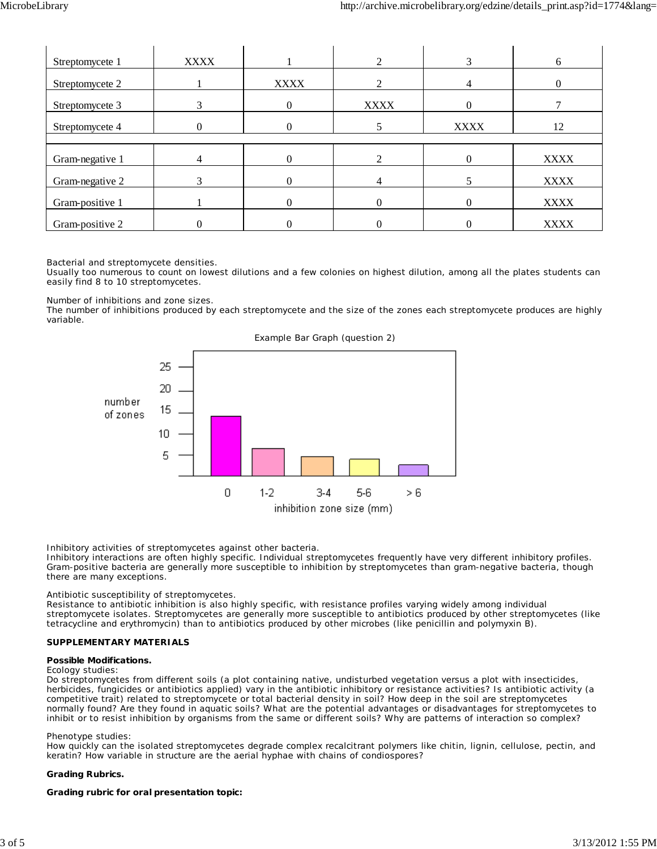| Streptomycete 1 | <b>XXXX</b> |             | $\mathcal{D}$ |             | 6           |
|-----------------|-------------|-------------|---------------|-------------|-------------|
| Streptomycete 2 |             | <b>XXXX</b> |               |             |             |
| Streptomycete 3 | 3           | $\theta$    | <b>XXXX</b>   |             |             |
| Streptomycete 4 | $\Omega$    |             |               | <b>XXXX</b> | 12          |
|                 |             |             |               |             |             |
| Gram-negative 1 |             |             |               |             | <b>XXXX</b> |
| Gram-negative 2 | 3           |             |               |             | <b>XXXX</b> |
| Gram-positive 1 |             | $\Omega$    |               |             | <b>XXXX</b> |
| Gram-positive 2 |             |             |               |             | <b>XXXX</b> |

Bacterial and streptomycete densities.

Usually too numerous to count on lowest dilutions and a few colonies on highest dilution, among all the plates students can easily find 8 to 10 streptomycetes.

#### Number of inhibitions and zone sizes.

The number of inhibitions produced by each streptomycete and the size of the zones each streptomycete produces are highly variable.



Example Bar Graph (question 2)

Inhibitory activities of streptomycetes against other bacteria.

Inhibitory interactions are often highly specific. Individual streptomycetes frequently have very different inhibitory profiles. Gram-positive bacteria are generally more susceptible to inhibition by streptomycetes than gram-negative bacteria, though there are many exceptions.

### Antibiotic susceptibility of streptomycetes.

Resistance to antibiotic inhibition is also highly specific, with resistance profiles varying widely among individual streptomycete isolates. Streptomycetes are generally more susceptible to antibiotics produced by other streptomycetes (like tetracycline and erythromycin) than to antibiotics produced by other microbes (like penicillin and polymyxin B).

#### **SUPPLEMENTARY MATERIALS**

#### **Possible Modifications.**

#### Ecology studies:

Do streptomycetes from different soils (a plot containing native, undisturbed vegetation versus a plot with insecticides, herbicides, fungicides or antibiotics applied) vary in the antibiotic inhibitory or resistance activities? Is antibiotic activity (a competitive trait) related to streptomycete or total bacterial density in soil? How deep in the soil are streptomycetes normally found? Are they found in aquatic soils? What are the potential advantages or disadvantages for streptomycetes to inhibit or to resist inhibition by organisms from the same or different soils? Why are patterns of interaction so complex?

#### Phenotype studies:

How quickly can the isolated streptomycetes degrade complex recalcitrant polymers like chitin, lignin, cellulose, pectin, and keratin? How variable in structure are the aerial hyphae with chains of condiospores?

#### **Grading Rubrics.**

#### **Grading rubric for oral presentation topic:**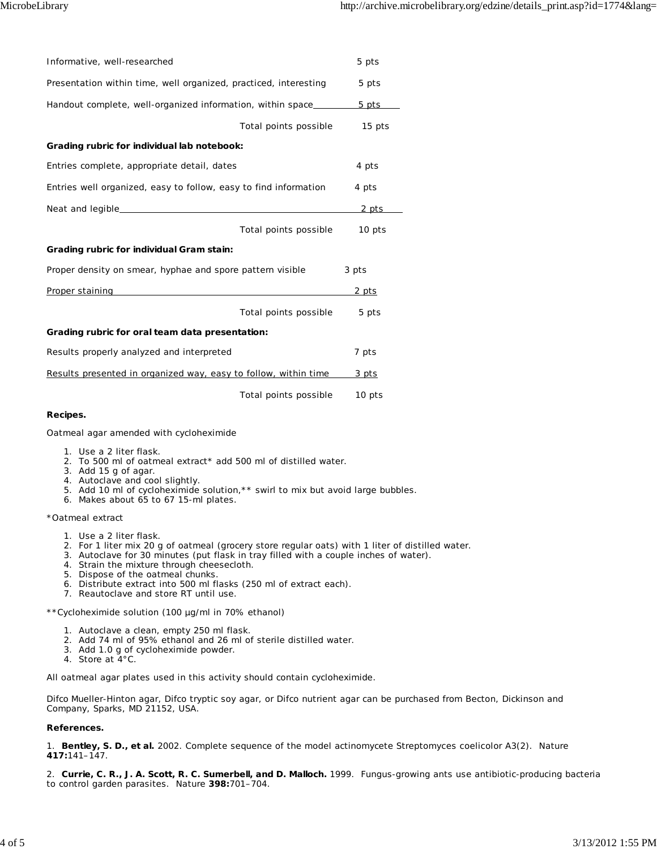| Informative, well-researched                                     |                       | 5 pts  |  |
|------------------------------------------------------------------|-----------------------|--------|--|
| Presentation within time, well organized, practiced, interesting |                       | 5 pts  |  |
| Handout complete, well-organized information, within space       |                       | 5 pts  |  |
|                                                                  | Total points possible | 15 pts |  |
| Grading rubric for individual lab notebook:                      |                       |        |  |
| Entries complete, appropriate detail, dates                      |                       | 4 pts  |  |
| Entries well organized, easy to follow, easy to find information |                       | 4 pts  |  |
|                                                                  |                       | 2 pts  |  |
|                                                                  | Total points possible | 10 pts |  |
| Grading rubric for individual Gram stain:                        |                       |        |  |
| Proper density on smear, hyphae and spore pattern visible        | 3 pts                 |        |  |
| Proper staining                                                  |                       | 2 pts  |  |
|                                                                  | Total points possible | 5 pts  |  |
| Grading rubric for oral team data presentation:                  |                       |        |  |
| Results properly analyzed and interpreted                        |                       | 7 pts  |  |
| Results presented in organized way, easy to follow, within time  | $3$ pts               |        |  |
|                                                                  | Total points possible | 10 pts |  |
|                                                                  |                       |        |  |

Oatmeal agar amended with cycloheximide

- 1. Use a 2 liter flask.
- 2. To 500 ml of oatmeal extract\* add 500 ml of distilled water.
- 3. Add 15 g of agar.
- 4. Autoclave and cool slightly.
- 5. Add 10 ml of cycloheximide solution,\*\* swirl to mix but avoid large bubbles.
- 6. Makes about 65 to 67 15-ml plates.

\*Oatmeal extract

- 1. Use a 2 liter flask.
- 2. For 1 liter mix 20 g of oatmeal (grocery store regular oats) with 1 liter of distilled water.
- 3. Autoclave for 30 minutes (put flask in tray filled with a couple inches of water).
- 4. Strain the mixture through cheesecloth.
- 5. Dispose of the oatmeal chunks.
- 6. Distribute extract into 500 ml flasks (250 ml of extract each).
- 7. Reautoclave and store RT until use.

\*\*Cycloheximide solution (100 µg/ml in 70% ethanol)

- 1. Autoclave a clean, empty 250 ml flask.
- 2. Add 74 ml of 95% ethanol and 26 ml of sterile distilled water.
- 3. Add 1.0 g of cycloheximide powder.
- 4. Store at 4°C.

All oatmeal agar plates used in this activity should contain cycloheximide.

Difco Mueller-Hinton agar, Difco tryptic soy agar, or Difco nutrient agar can be purchased from Becton, Dickinson and Company, Sparks, MD 21152, USA.

#### **References.**

1. **Bentley, S. D., et al.** 2002. Complete sequence of the model actinomycete *Streptomyces coelicolor* A3(2). Nature **417:**141–147.

2. **Currie, C. R., J. A. Scott, R. C. Sumerbell, and D. Malloch.** 1999. Fungus-growing ants use antibiotic-producing bacteria to control garden parasites. Nature **398:**701–704.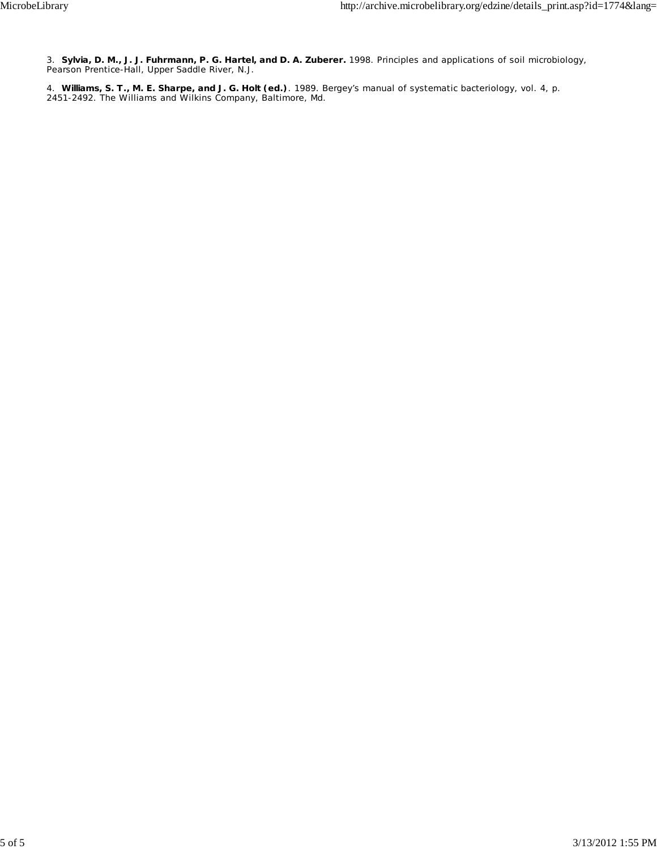3. **Sylvia, D. M., J. J. Fuhrmann, P. G. Hartel, and D. A. Zuberer.** 1998. Principles and applications of soil microbiology, Pearson Prentice-Hall, Upper Saddle River, N.J.

4. **Williams, S. T., M. E. Sharpe, and J. G. Holt (ed.)**. 1989. Bergey's manual of systematic bacteriology, vol. 4, p. 2451-2492. The Williams and Wilkins Company, Baltimore, Md.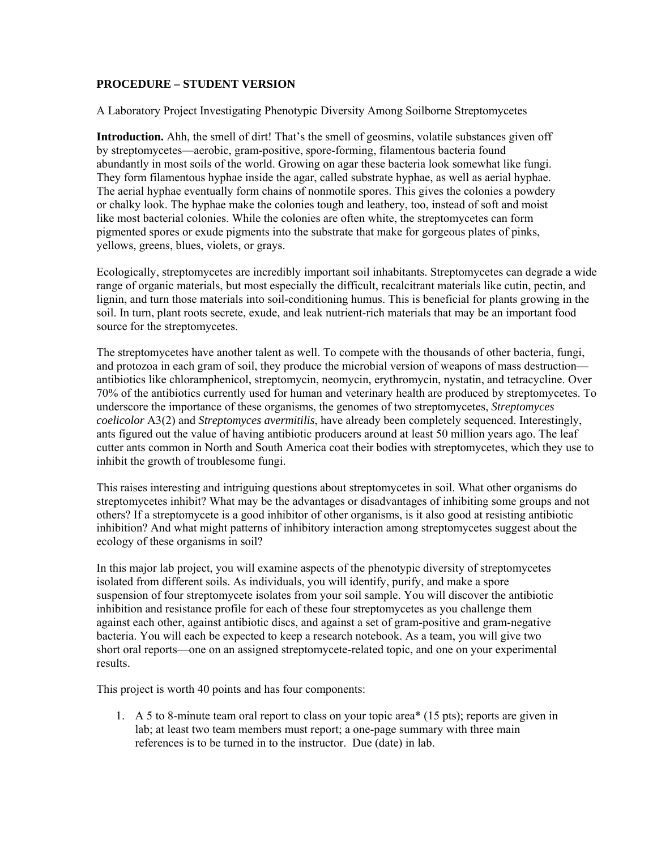### **PROCEDURE – STUDENT VERSION**

A Laboratory Project Investigating Phenotypic Diversity Among Soilborne Streptomycetes

**Introduction.** Ahh, the smell of dirt! That's the smell of geosmins, volatile substances given off by streptomycetes—aerobic, gram-positive, spore-forming, filamentous bacteria found abundantly in most soils of the world. Growing on agar these bacteria look somewhat like fungi. They form filamentous hyphae inside the agar, called substrate hyphae, as well as aerial hyphae. The aerial hyphae eventually form chains of nonmotile spores. This gives the colonies a powdery or chalky look. The hyphae make the colonies tough and leathery, too, instead of soft and moist like most bacterial colonies. While the colonies are often white, the streptomycetes can form pigmented spores or exude pigments into the substrate that make for gorgeous plates of pinks, yellows, greens, blues, violets, or grays.

Ecologically, streptomycetes are incredibly important soil inhabitants. Streptomycetes can degrade a wide range of organic materials, but most especially the difficult, recalcitrant materials like cutin, pectin, and lignin, and turn those materials into soil-conditioning humus. This is beneficial for plants growing in the soil. In turn, plant roots secrete, exude, and leak nutrient-rich materials that may be an important food source for the streptomycetes.

The streptomycetes have another talent as well. To compete with the thousands of other bacteria, fungi, and protozoa in each gram of soil, they produce the microbial version of weapons of mass destruction antibiotics like chloramphenicol, streptomycin, neomycin, erythromycin, nystatin, and tetracycline. Over 70% of the antibiotics currently used for human and veterinary health are produced by streptomycetes. To underscore the importance of these organisms, the genomes of two streptomycetes, *Streptomyces coelicolor* A3(2) and *Streptomyces avermitilis*, have already been completely sequenced. Interestingly, ants figured out the value of having antibiotic producers around at least 50 million years ago. The leaf cutter ants common in North and South America coat their bodies with streptomycetes, which they use to inhibit the growth of troublesome fungi.

This raises interesting and intriguing questions about streptomycetes in soil. What other organisms do streptomycetes inhibit? What may be the advantages or disadvantages of inhibiting some groups and not others? If a streptomycete is a good inhibitor of other organisms, is it also good at resisting antibiotic inhibition? And what might patterns of inhibitory interaction among streptomycetes suggest about the ecology of these organisms in soil?

In this major lab project, you will examine aspects of the phenotypic diversity of streptomycetes isolated from different soils. As individuals, you will identify, purify, and make a spore suspension of four streptomycete isolates from your soil sample. You will discover the antibiotic inhibition and resistance profile for each of these four streptomycetes as you challenge them against each other, against antibiotic discs, and against a set of gram-positive and gram-negative bacteria. You will each be expected to keep a research notebook. As a team, you will give two short oral reports—one on an assigned streptomycete-related topic, and one on your experimental results.

This project is worth 40 points and has four components:

1. A 5 to 8-minute team oral report to class on your topic area\* (15 pts); reports are given in lab; at least two team members must report; a one-page summary with three main references is to be turned in to the instructor. Due (date) in lab.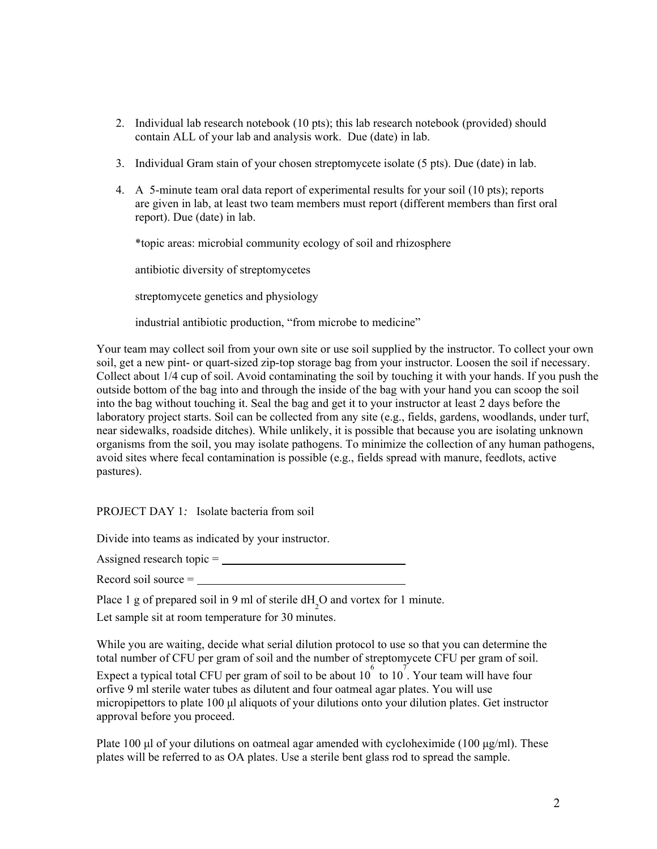- 2. Individual lab research notebook (10 pts); this lab research notebook (provided) should contain ALL of your lab and analysis work. Due (date) in lab.
- 3. Individual Gram stain of your chosen streptomycete isolate (5 pts). Due (date) in lab.
- 4. A 5-minute team oral data report of experimental results for your soil (10 pts); reports are given in lab, at least two team members must report (different members than first oral report). Due (date) in lab.

\*topic areas: microbial community ecology of soil and rhizosphere

antibiotic diversity of streptomycetes

streptomycete genetics and physiology

industrial antibiotic production, "from microbe to medicine"

Your team may collect soil from your own site or use soil supplied by the instructor. To collect your own soil, get a new pint- or quart-sized zip-top storage bag from your instructor. Loosen the soil if necessary. Collect about 1/4 cup of soil. Avoid contaminating the soil by touching it with your hands. If you push the outside bottom of the bag into and through the inside of the bag with your hand you can scoop the soil into the bag without touching it. Seal the bag and get it to your instructor at least 2 days before the laboratory project starts. Soil can be collected from any site (e.g., fields, gardens, woodlands, under turf, near sidewalks, roadside ditches). While unlikely, it is possible that because you are isolating unknown organisms from the soil, you may isolate pathogens. To minimize the collection of any human pathogens, avoid sites where fecal contamination is possible (e.g., fields spread with manure, feedlots, active pastures).

PROJECT DAY 1*:* Isolate bacteria from soil

Divide into teams as indicated by your instructor.

Assigned research topic =

Record soil source =

Place 1 g of prepared soil in 9 ml of sterile  $dH_2O$  and vortex for 1 minute.

Let sample sit at room temperature for 30 minutes.

While you are waiting, decide what serial dilution protocol to use so that you can determine the total number of CFU per gram of soil and the number of streptomycete CFU per gram of soil.

Expect a typical total CFU per gram of soil to be about  $10^{6}$  to  $10^{7}$ . Your team will have four orfive 9 ml sterile water tubes as dilutent and four oatmeal agar plates. You will use micropipettors to plate 100 μl aliquots of your dilutions onto your dilution plates. Get instructor approval before you proceed.

Plate 100 μl of your dilutions on oatmeal agar amended with cycloheximide (100 μg/ml). These plates will be referred to as OA plates. Use a sterile bent glass rod to spread the sample.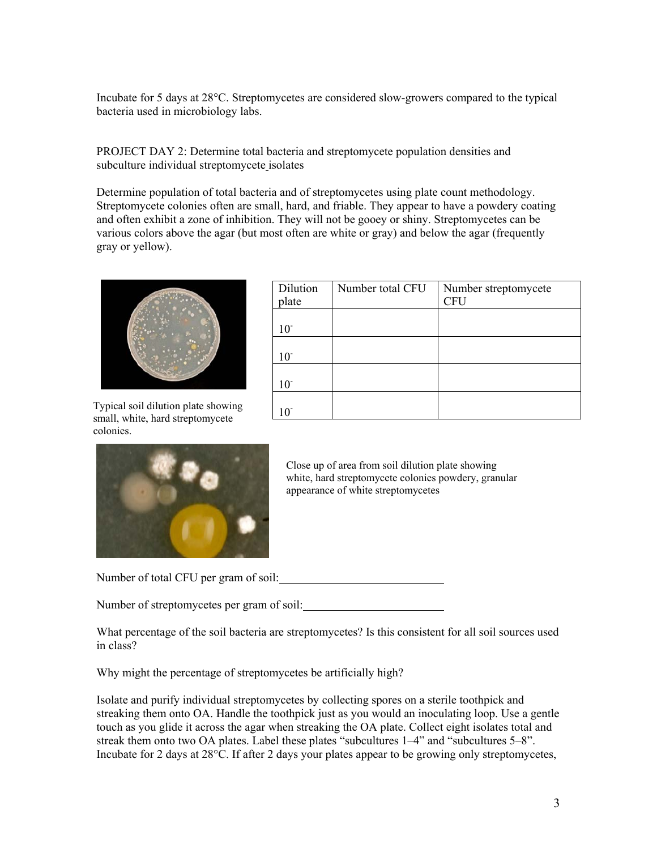Incubate for 5 days at 28°C. Streptomycetes are considered slow-growers compared to the typical bacteria used in microbiology labs.

PROJECT DAY 2: Determine total bacteria and streptomycete population densities and subculture individual streptomycete isolates

Determine population of total bacteria and of streptomycetes using plate count methodology. Streptomycete colonies often are small, hard, and friable. They appear to have a powdery coating and often exhibit a zone of inhibition. They will not be gooey or shiny. Streptomycetes can be various colors above the agar (but most often are white or gray) and below the agar (frequently gray or yellow).



 $\begin{array}{|l|l|}\n \hline\n \text{10} & \text{10} \\
\text{11} & \text{11} \\
\hline\n \end{array}$ small, white, hard streptomycete colonies.

| Dilution        | Number total CFU | Number streptomycete |
|-----------------|------------------|----------------------|
| plate           |                  | <b>CFU</b>           |
|                 |                  |                      |
| 10 <sup>°</sup> |                  |                      |
|                 |                  |                      |
| 10 <sup>°</sup> |                  |                      |
|                 |                  |                      |
| $10^{-}$        |                  |                      |
|                 |                  |                      |
| $10^{-}$        |                  |                      |



Close up of area from soil dilution plate showing white, hard streptomycete colonies powdery, granular appearance of white streptomycetes

Number of total CFU per gram of soil:

Number of streptomycetes per gram of soil:

What percentage of the soil bacteria are streptomycetes? Is this consistent for all soil sources used in class?

Why might the percentage of streptomycetes be artificially high?

Isolate and purify individual streptomycetes by collecting spores on a sterile toothpick and streaking them onto OA. Handle the toothpick just as you would an inoculating loop. Use a gentle touch as you glide it across the agar when streaking the OA plate. Collect eight isolates total and streak them onto two OA plates. Label these plates "subcultures 1–4" and "subcultures 5–8". Incubate for 2 days at 28°C. If after 2 days your plates appear to be growing only streptomycetes,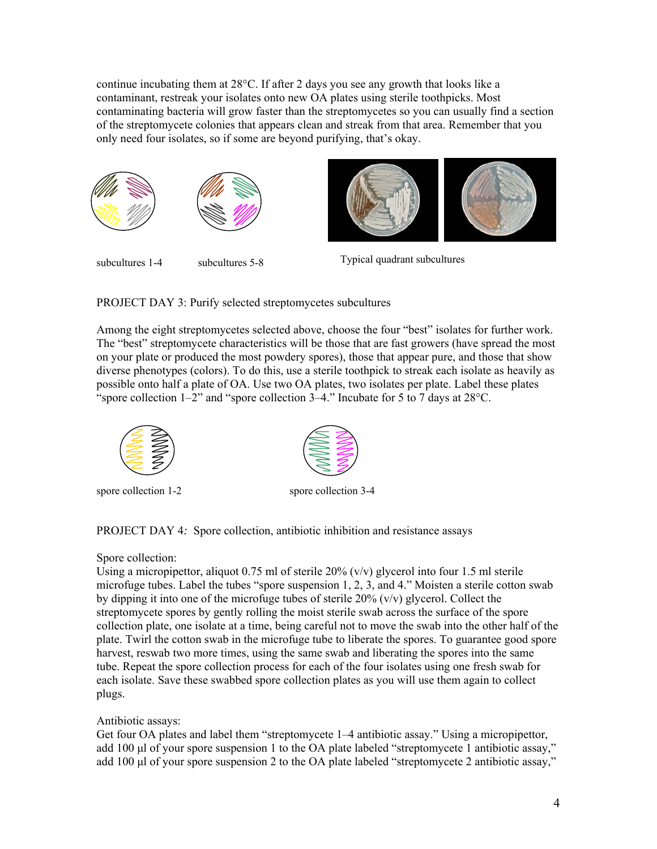continue incubating them at 28°C. If after 2 days you see any growth that looks like a contaminant, restreak your isolates onto new OA plates using sterile toothpicks. Most contaminating bacteria will grow faster than the streptomycetes so you can usually find a section of the streptomycete colonies that appears clean and streak from that area. Remember that you only need four isolates, so if some are beyond purifying, that's okay.



PROJECT DAY 3: Purify selected streptomycetes subcultures

Among the eight streptomycetes selected above, choose the four "best" isolates for further work. The "best" streptomycete characteristics will be those that are fast growers (have spread the most on your plate or produced the most powdery spores), those that appear pure, and those that show diverse phenotypes (colors). To do this, use a sterile toothpick to streak each isolate as heavily as possible onto half a plate of OA. Use two OA plates, two isolates per plate. Label these plates "spore collection 1–2" and "spore collection 3–4." Incubate for 5 to 7 days at 28°C.



spore collection 1-2 spore collection 3-4



PROJECT DAY 4*:* Spore collection, antibiotic inhibition and resistance assays

### Spore collection:

Using a micropipettor, aliquot 0.75 ml of sterile 20% (v/v) glycerol into four 1.5 ml sterile microfuge tubes. Label the tubes "spore suspension 1, 2, 3, and 4." Moisten a sterile cotton swab by dipping it into one of the microfuge tubes of sterile  $20\%$  (v/v) glycerol. Collect the streptomycete spores by gently rolling the moist sterile swab across the surface of the spore collection plate, one isolate at a time, being careful not to move the swab into the other half of the plate. Twirl the cotton swab in the microfuge tube to liberate the spores. To guarantee good spore harvest, reswab two more times, using the same swab and liberating the spores into the same tube. Repeat the spore collection process for each of the four isolates using one fresh swab for each isolate. Save these swabbed spore collection plates as you will use them again to collect plugs.

## Antibiotic assays:

Get four OA plates and label them "streptomycete 1–4 antibiotic assay." Using a micropipettor, add 100 μl of your spore suspension 1 to the OA plate labeled "streptomycete 1 antibiotic assay," add 100 μl of your spore suspension 2 to the OA plate labeled "streptomycete 2 antibiotic assay,"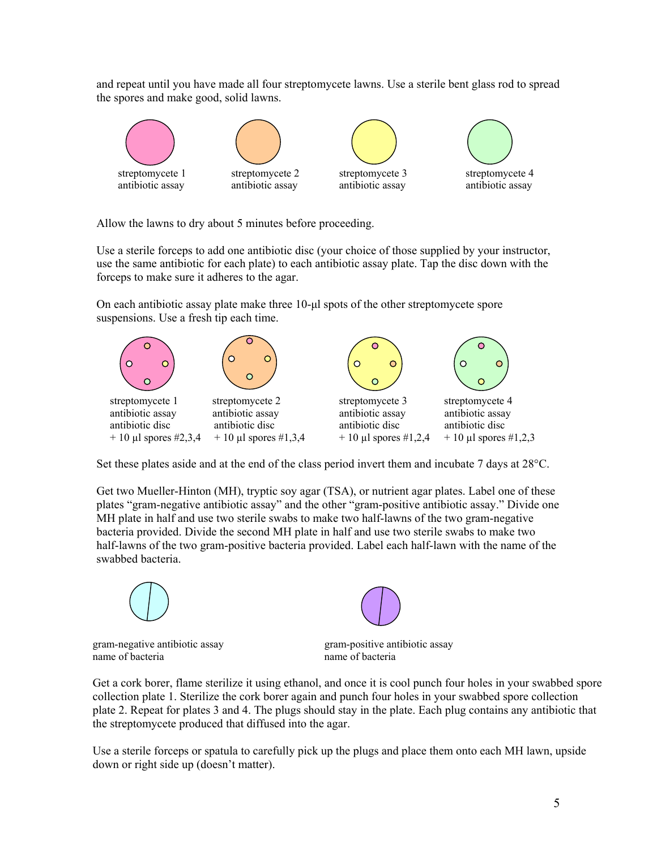and repeat until you have made all four streptomycete lawns. Use a sterile bent glass rod to spread the spores and make good, solid lawns.



Allow the lawns to dry about 5 minutes before proceeding.

Use a sterile forceps to add one antibiotic disc (your choice of those supplied by your instructor, use the same antibiotic for each plate) to each antibiotic assay plate. Tap the disc down with the forceps to make sure it adheres to the agar.

On each antibiotic assay plate make three 10-μl spots of the other streptomycete spore suspensions. Use a fresh tip each time.



Set these plates aside and at the end of the class period invert them and incubate 7 days at 28°C.

Get two Mueller-Hinton (MH), tryptic soy agar (TSA), or nutrient agar plates. Label one of these plates "gram-negative antibiotic assay" and the other "gram-positive antibiotic assay." Divide one MH plate in half and use two sterile swabs to make two half-lawns of the two gram-negative bacteria provided. Divide the second MH plate in half and use two sterile swabs to make two half-lawns of the two gram-positive bacteria provided. Label each half-lawn with the name of the swabbed bacteria.



gram-negative antibiotic assay gram-positive antibiotic assay name of bacteria name of bacteria



Get a cork borer, flame sterilize it using ethanol, and once it is cool punch four holes in your swabbed spore collection plate 1. Sterilize the cork borer again and punch four holes in your swabbed spore collection plate 2. Repeat for plates 3 and 4. The plugs should stay in the plate. Each plug contains any antibiotic that the streptomycete produced that diffused into the agar.

Use a sterile forceps or spatula to carefully pick up the plugs and place them onto each MH lawn, upside down or right side up (doesn't matter).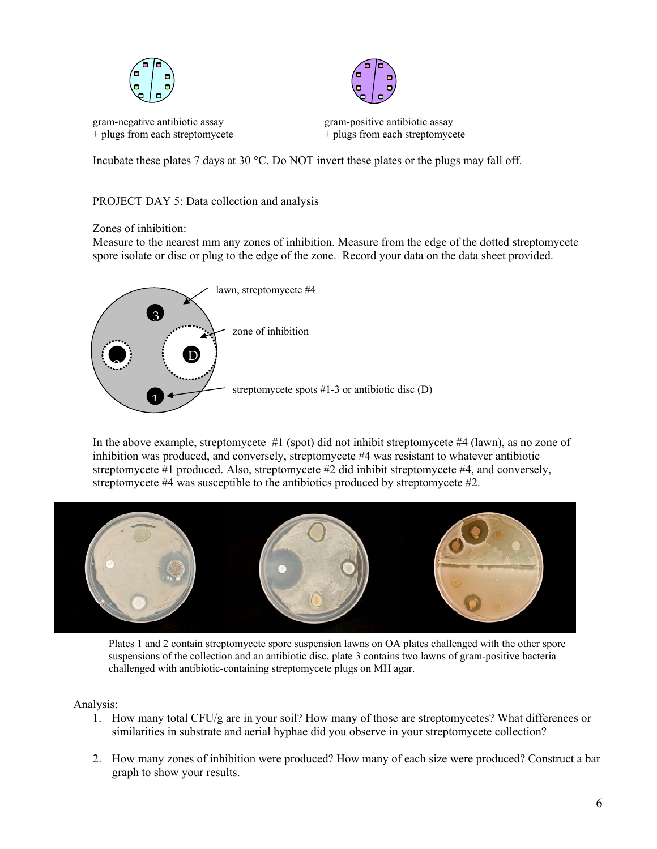

+ plugs from each streptomycete  $+$  plugs from each streptomycete



gram-negative antibiotic assay gram-positive antibiotic assay

Incubate these plates 7 days at 30 °C. Do NOT invert these plates or the plugs may fall off.

## PROJECT DAY 5: Data collection and analysis

Zones of inhibition:

Measure to the nearest mm any zones of inhibition. Measure from the edge of the dotted streptomycete spore isolate or disc or plug to the edge of the zone. Record your data on the data sheet provided.



In the above example, streptomycete #1 (spot) did not inhibit streptomycete #4 (lawn), as no zone of inhibition was produced, and conversely, streptomycete #4 was resistant to whatever antibiotic streptomycete #1 produced. Also, streptomycete #2 did inhibit streptomycete #4, and conversely, streptomycete #4 was susceptible to the antibiotics produced by streptomycete #2.



Plates 1 and 2 contain streptomycete spore suspension lawns on OA plates challenged with the other spore suspensions of the collection and an antibiotic disc, plate 3 contains two lawns of gram-positive bacteria challenged with antibiotic-containing streptomycete plugs on MH agar.

## Analysis:

- 1. How many total CFU/g are in your soil? How many of those are streptomycetes? What differences or similarities in substrate and aerial hyphae did you observe in your streptomycete collection?
- 2. How many zones of inhibition were produced? How many of each size were produced? Construct a bar graph to show your results.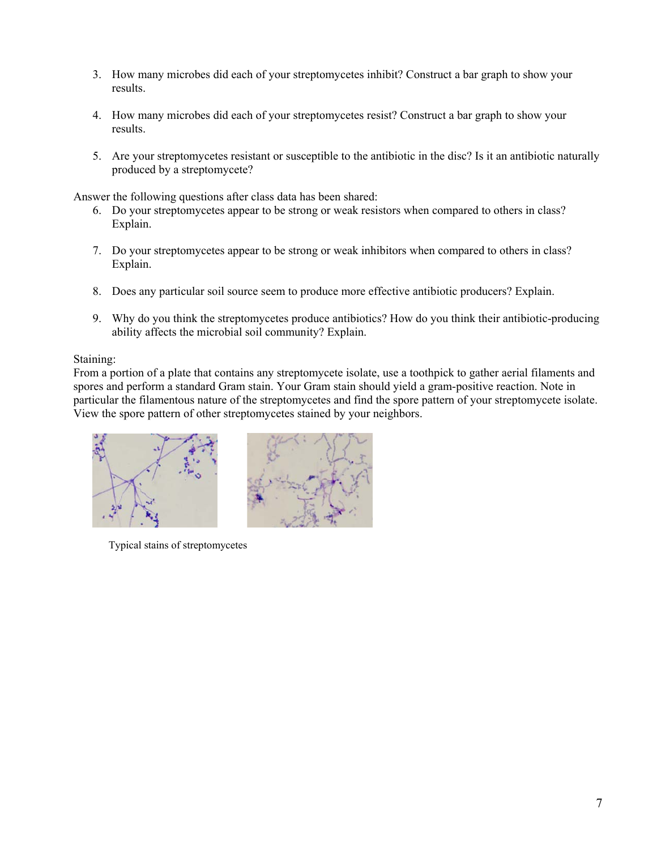- 3. How many microbes did each of your streptomycetes inhibit? Construct a bar graph to show your results.
- 4. How many microbes did each of your streptomycetes resist? Construct a bar graph to show your results.
- 5. Are your streptomycetes resistant or susceptible to the antibiotic in the disc? Is it an antibiotic naturally produced by a streptomycete?

Answer the following questions after class data has been shared:

- 6. Do your streptomycetes appear to be strong or weak resistors when compared to others in class? Explain.
- 7. Do your streptomycetes appear to be strong or weak inhibitors when compared to others in class? Explain.
- 8. Does any particular soil source seem to produce more effective antibiotic producers? Explain.
- 9. Why do you think the streptomycetes produce antibiotics? How do you think their antibiotic-producing ability affects the microbial soil community? Explain.

### Staining:

From a portion of a plate that contains any streptomycete isolate, use a toothpick to gather aerial filaments and spores and perform a standard Gram stain. Your Gram stain should yield a gram-positive reaction. Note in particular the filamentous nature of the streptomycetes and find the spore pattern of your streptomycete isolate. View the spore pattern of other streptomycetes stained by your neighbors.



Typical stains of streptomycetes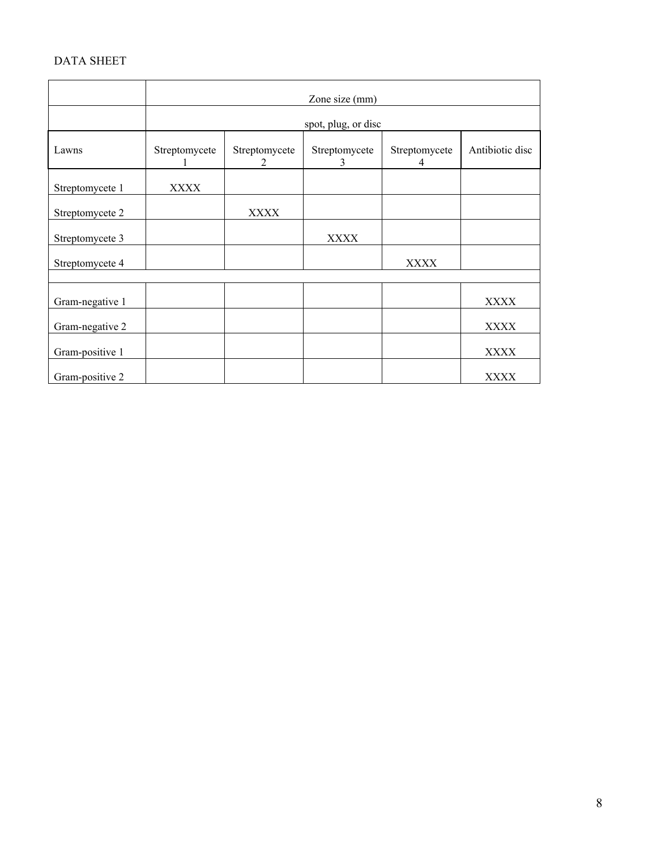# DATA SHEET

|                 | Zone size (mm)      |                                              |                    |                    |                 |
|-----------------|---------------------|----------------------------------------------|--------------------|--------------------|-----------------|
|                 | spot, plug, or disc |                                              |                    |                    |                 |
| Lawns           | Streptomycete       | Streptomycete<br>$\mathcal{D}_{\mathcal{L}}$ | Streptomycete<br>3 | Streptomycete<br>4 | Antibiotic disc |
| Streptomycete 1 | <b>XXXX</b>         |                                              |                    |                    |                 |
| Streptomycete 2 |                     | <b>XXXX</b>                                  |                    |                    |                 |
| Streptomycete 3 |                     |                                              | <b>XXXX</b>        |                    |                 |
| Streptomycete 4 |                     |                                              |                    | <b>XXXX</b>        |                 |
|                 |                     |                                              |                    |                    |                 |
| Gram-negative 1 |                     |                                              |                    |                    | XXXX            |
| Gram-negative 2 |                     |                                              |                    |                    | <b>XXXX</b>     |
| Gram-positive 1 |                     |                                              |                    |                    | XXXX            |
| Gram-positive 2 |                     |                                              |                    |                    | <b>XXXX</b>     |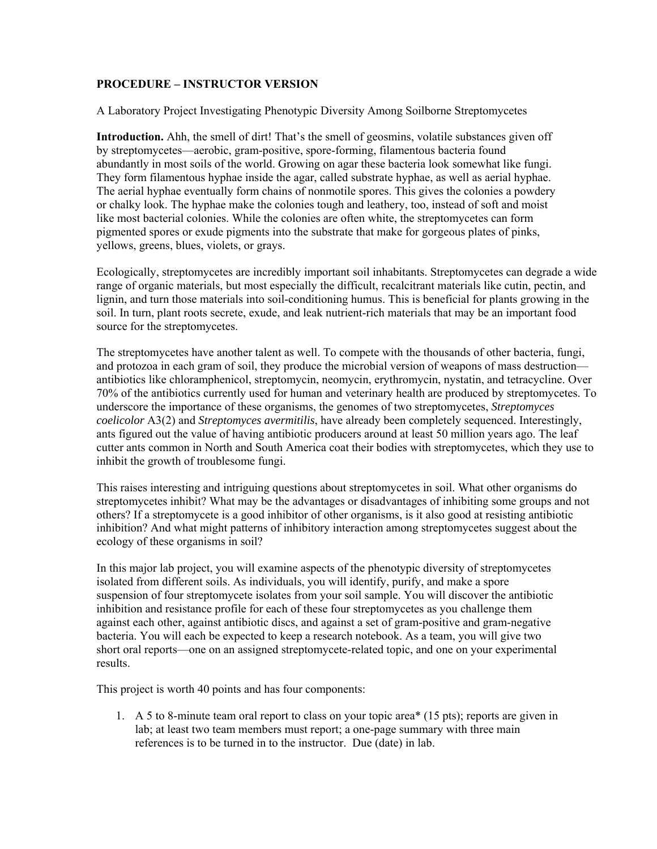### **PROCEDURE – INSTRUCTOR VERSION**

A Laboratory Project Investigating Phenotypic Diversity Among Soilborne Streptomycetes

**Introduction.** Ahh, the smell of dirt! That's the smell of geosmins, volatile substances given off by streptomycetes—aerobic, gram-positive, spore-forming, filamentous bacteria found abundantly in most soils of the world. Growing on agar these bacteria look somewhat like fungi. They form filamentous hyphae inside the agar, called substrate hyphae, as well as aerial hyphae. The aerial hyphae eventually form chains of nonmotile spores. This gives the colonies a powdery or chalky look. The hyphae make the colonies tough and leathery, too, instead of soft and moist like most bacterial colonies. While the colonies are often white, the streptomycetes can form pigmented spores or exude pigments into the substrate that make for gorgeous plates of pinks, yellows, greens, blues, violets, or grays.

Ecologically, streptomycetes are incredibly important soil inhabitants. Streptomycetes can degrade a wide range of organic materials, but most especially the difficult, recalcitrant materials like cutin, pectin, and lignin, and turn those materials into soil-conditioning humus. This is beneficial for plants growing in the soil. In turn, plant roots secrete, exude, and leak nutrient-rich materials that may be an important food source for the streptomycetes.

The streptomycetes have another talent as well. To compete with the thousands of other bacteria, fungi, and protozoa in each gram of soil, they produce the microbial version of weapons of mass destruction antibiotics like chloramphenicol, streptomycin, neomycin, erythromycin, nystatin, and tetracycline. Over 70% of the antibiotics currently used for human and veterinary health are produced by streptomycetes. To underscore the importance of these organisms, the genomes of two streptomycetes, *Streptomyces coelicolor* A3(2) and *Streptomyces avermitilis*, have already been completely sequenced. Interestingly, ants figured out the value of having antibiotic producers around at least 50 million years ago. The leaf cutter ants common in North and South America coat their bodies with streptomycetes, which they use to inhibit the growth of troublesome fungi.

This raises interesting and intriguing questions about streptomycetes in soil. What other organisms do streptomycetes inhibit? What may be the advantages or disadvantages of inhibiting some groups and not others? If a streptomycete is a good inhibitor of other organisms, is it also good at resisting antibiotic inhibition? And what might patterns of inhibitory interaction among streptomycetes suggest about the ecology of these organisms in soil?

In this major lab project, you will examine aspects of the phenotypic diversity of streptomycetes isolated from different soils. As individuals, you will identify, purify, and make a spore suspension of four streptomycete isolates from your soil sample. You will discover the antibiotic inhibition and resistance profile for each of these four streptomycetes as you challenge them against each other, against antibiotic discs, and against a set of gram-positive and gram-negative bacteria. You will each be expected to keep a research notebook. As a team, you will give two short oral reports—one on an assigned streptomycete-related topic, and one on your experimental results.

This project is worth 40 points and has four components:

1. A 5 to 8-minute team oral report to class on your topic area\* (15 pts); reports are given in lab; at least two team members must report; a one-page summary with three main references is to be turned in to the instructor. Due (date) in lab.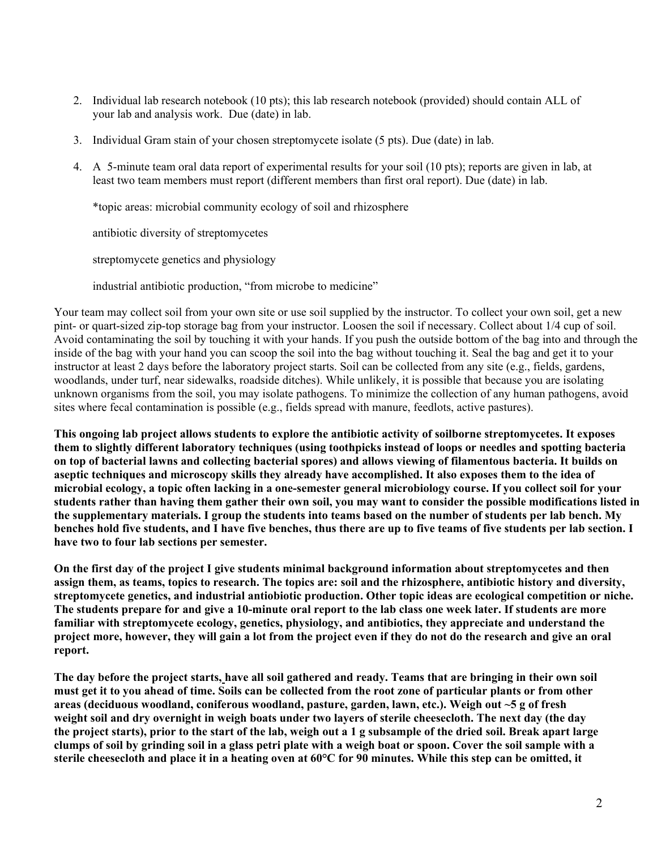- 2. Individual lab research notebook (10 pts); this lab research notebook (provided) should contain ALL of your lab and analysis work. Due (date) in lab.
- 3. Individual Gram stain of your chosen streptomycete isolate (5 pts). Due (date) in lab.
- 4. A 5-minute team oral data report of experimental results for your soil (10 pts); reports are given in lab, at least two team members must report (different members than first oral report). Due (date) in lab.

\*topic areas: microbial community ecology of soil and rhizosphere

antibiotic diversity of streptomycetes

streptomycete genetics and physiology

industrial antibiotic production, "from microbe to medicine"

Your team may collect soil from your own site or use soil supplied by the instructor. To collect your own soil, get a new pint- or quart-sized zip-top storage bag from your instructor. Loosen the soil if necessary. Collect about 1/4 cup of soil. Avoid contaminating the soil by touching it with your hands. If you push the outside bottom of the bag into and through the inside of the bag with your hand you can scoop the soil into the bag without touching it. Seal the bag and get it to your instructor at least 2 days before the laboratory project starts. Soil can be collected from any site (e.g., fields, gardens, woodlands, under turf, near sidewalks, roadside ditches). While unlikely, it is possible that because you are isolating unknown organisms from the soil, you may isolate pathogens. To minimize the collection of any human pathogens, avoid sites where fecal contamination is possible (e.g., fields spread with manure, feedlots, active pastures).

**This ongoing lab project allows students to explore the antibiotic activity of soilborne streptomycetes. It exposes them to slightly different laboratory techniques (using toothpicks instead of loops or needles and spotting bacteria on top of bacterial lawns and collecting bacterial spores) and allows viewing of filamentous bacteria. It builds on aseptic techniques and microscopy skills they already have accomplished. It also exposes them to the idea of microbial ecology, a topic often lacking in a one-semester general microbiology course. If you collect soil for your students rather than having them gather their own soil, you may want to consider the possible modifications listed in the supplementary materials. I group the students into teams based on the number of students per lab bench. My benches hold five students, and I have five benches, thus there are up to five teams of five students per lab section. I have two to four lab sections per semester.** 

**On the first day of the project I give students minimal background information about streptomycetes and then assign them, as teams, topics to research. The topics are: soil and the rhizosphere, antibiotic history and diversity, streptomycete genetics, and industrial antiobiotic production. Other topic ideas are ecological competition or niche. The students prepare for and give a 10-minute oral report to the lab class one week later. If students are more familiar with streptomycete ecology, genetics, physiology, and antibiotics, they appreciate and understand the project more, however, they will gain a lot from the project even if they do not do the research and give an oral report.** 

**The day before the project starts, have all soil gathered and ready. Teams that are bringing in their own soil must get it to you ahead of time. Soils can be collected from the root zone of particular plants or from other areas (deciduous woodland, coniferous woodland, pasture, garden, lawn, etc.). Weigh out ~5 g of fresh weight soil and dry overnight in weigh boats under two layers of sterile cheesecloth. The next day (the day the project starts), prior to the start of the lab, weigh out a 1 g subsample of the dried soil. Break apart large clumps of soil by grinding soil in a glass petri plate with a weigh boat or spoon. Cover the soil sample with a sterile cheesecloth and place it in a heating oven at 60°C for 90 minutes. While this step can be omitted, it**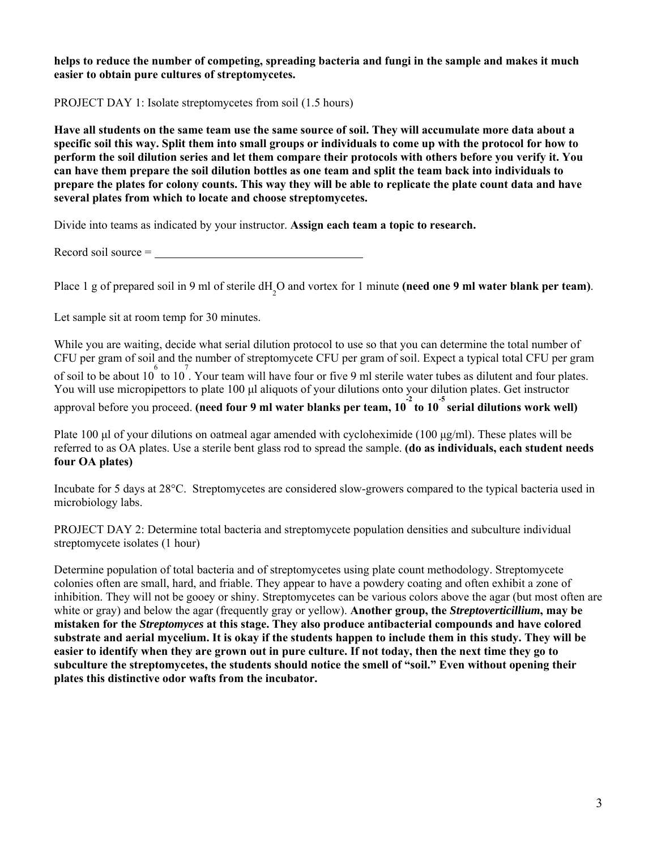**helps to reduce the number of competing, spreading bacteria and fungi in the sample and makes it much easier to obtain pure cultures of streptomycetes.** 

PROJECT DAY 1: Isolate streptomycetes from soil (1.5 hours)

**Have all students on the same team use the same source of soil. They will accumulate more data about a specific soil this way. Split them into small groups or individuals to come up with the protocol for how to perform the soil dilution series and let them compare their protocols with others before you verify it. You can have them prepare the soil dilution bottles as one team and split the team back into individuals to prepare the plates for colony counts. This way they will be able to replicate the plate count data and have several plates from which to locate and choose streptomycetes.** 

Divide into teams as indicated by your instructor. **Assign each team a topic to research.** 

Record soil source =

Place 1 g of prepared soil in 9 ml of sterile dH<sub>2</sub>O and vortex for 1 minute **(need one 9 ml water blank per team)**.

Let sample sit at room temp for 30 minutes.

While you are waiting, decide what serial dilution protocol to use so that you can determine the total number of CFU per gram of soil and the number of streptomycete CFU per gram of soil. Expect a typical total CFU per gram of soil to be about  $10^6$  to  $10^7$ . Your team will have four or five 9 ml sterile water tubes as dilutent and four plates. You will use micropipettors to plate 100 μl aliquots of your dilutions onto your dilution plates. Get instructor approval before you proceed. (need four 9 ml water blanks per team, 10<sup>-2</sup> to 10<sup>-5</sup> serial dilutions work well)

Plate 100 μl of your dilutions on oatmeal agar amended with cycloheximide (100 μg/ml). These plates will be referred to as OA plates. Use a sterile bent glass rod to spread the sample. **(do as individuals, each student needs four OA plates)** 

Incubate for 5 days at 28°C. Streptomycetes are considered slow-growers compared to the typical bacteria used in microbiology labs.

PROJECT DAY 2: Determine total bacteria and streptomycete population densities and subculture individual streptomycete isolates (1 hour)

Determine population of total bacteria and of streptomycetes using plate count methodology. Streptomycete colonies often are small, hard, and friable. They appear to have a powdery coating and often exhibit a zone of inhibition. They will not be gooey or shiny. Streptomycetes can be various colors above the agar (but most often are white or gray) and below the agar (frequently gray or yellow). **Another group, the** *Streptoverticillium***, may be mistaken for the** *Streptomyces* **at this stage. They also produce antibacterial compounds and have colored substrate and aerial mycelium. It is okay if the students happen to include them in this study. They will be easier to identify when they are grown out in pure culture. If not today, then the next time they go to subculture the streptomycetes, the students should notice the smell of "soil." Even without opening their plates this distinctive odor wafts from the incubator.**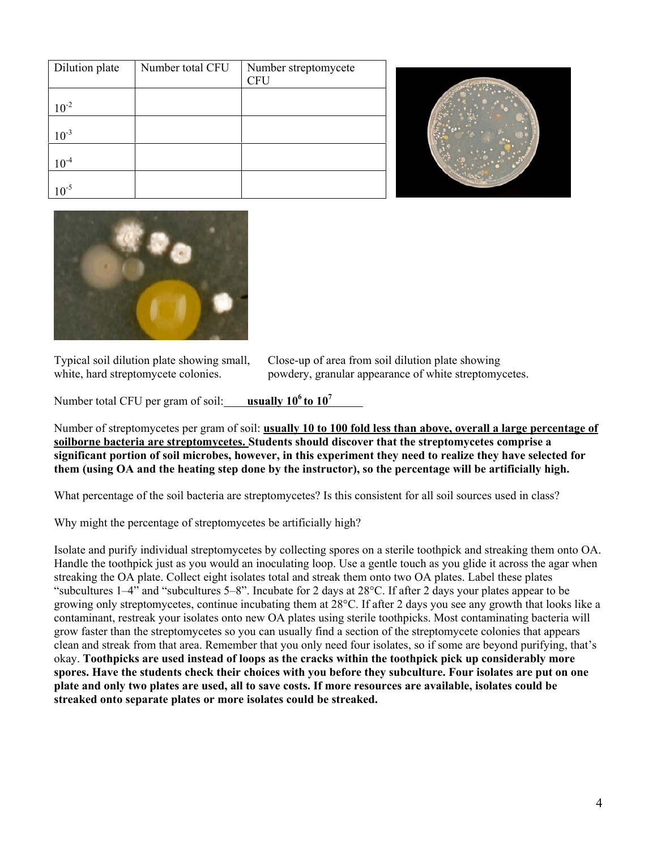| Dilution plate | Number total CFU | Number streptomycete |
|----------------|------------------|----------------------|
|                |                  | <b>CFU</b>           |
|                |                  |                      |
| $10^{-2}$      |                  |                      |
|                |                  |                      |
| $10^{-3}$      |                  |                      |
|                |                  |                      |
| $10^{-4}$      |                  |                      |
|                |                  |                      |
| $\mathbf{v}^5$ |                  |                      |





Typical soil dilution plate showing small, Close-up of area from soil dilution plate showing white, hard streptomycete colonies. powdery, granular appearance of white streptomycetes.

Number total CFU per gram of soil: **usually 10<sup>6</sup> to 10<sup>7</sup>** 

Number of streptomycetes per gram of soil: **usually 10 to 100 fold less than above, overall a large percentage of soilborne bacteria are streptomycetes. Students should discover that the streptomycetes comprise a significant portion of soil microbes, however, in this experiment they need to realize they have selected for them (using OA and the heating step done by the instructor), so the percentage will be artificially high.** 

What percentage of the soil bacteria are streptomycetes? Is this consistent for all soil sources used in class?

Why might the percentage of streptomycetes be artificially high?

Isolate and purify individual streptomycetes by collecting spores on a sterile toothpick and streaking them onto OA. Handle the toothpick just as you would an inoculating loop. Use a gentle touch as you glide it across the agar when streaking the OA plate. Collect eight isolates total and streak them onto two OA plates. Label these plates "subcultures 1–4" and "subcultures 5–8". Incubate for 2 days at 28°C. If after 2 days your plates appear to be growing only streptomycetes, continue incubating them at 28°C. If after 2 days you see any growth that looks like a contaminant, restreak your isolates onto new OA plates using sterile toothpicks. Most contaminating bacteria will grow faster than the streptomycetes so you can usually find a section of the streptomycete colonies that appears clean and streak from that area. Remember that you only need four isolates, so if some are beyond purifying, that's okay. **Toothpicks are used instead of loops as the cracks within the toothpick pick up considerably more spores. Have the students check their choices with you before they subculture. Four isolates are put on one plate and only two plates are used, all to save costs. If more resources are available, isolates could be streaked onto separate plates or more isolates could be streaked.**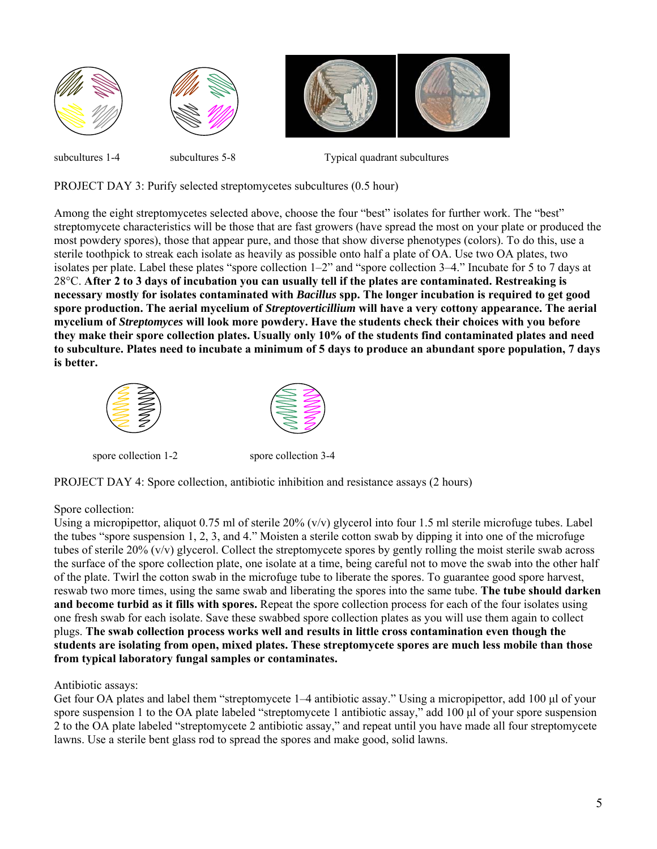

subcultures 1-4 subcultures 5-8 Typical quadrant subcultures

PROJECT DAY 3: Purify selected streptomycetes subcultures (0.5 hour)

Among the eight streptomycetes selected above, choose the four "best" isolates for further work. The "best" streptomycete characteristics will be those that are fast growers (have spread the most on your plate or produced the most powdery spores), those that appear pure, and those that show diverse phenotypes (colors). To do this, use a sterile toothpick to streak each isolate as heavily as possible onto half a plate of OA. Use two OA plates, two isolates per plate. Label these plates "spore collection 1–2" and "spore collection 3–4." Incubate for 5 to 7 days at 28°C. **After 2 to 3 days of incubation you can usually tell if the plates are contaminated. Restreaking is necessary mostly for isolates contaminated with** *Bacillus* **spp. The longer incubation is required to get good spore production. The aerial mycelium of** *Streptoverticillium* **will have a very cottony appearance. The aerial mycelium of** *Streptomyces* **will look more powdery. Have the students check their choices with you before they make their spore collection plates. Usually only 10% of the students find contaminated plates and need to subculture. Plates need to incubate a minimum of 5 days to produce an abundant spore population, 7 days is better.** 





spore collection 1-2 spore collection 3-4

PROJECT DAY 4: Spore collection, antibiotic inhibition and resistance assays (2 hours)

## Spore collection:

Using a micropipettor, aliquot  $0.75$  ml of sterile  $20\%$  (v/v) glycerol into four 1.5 ml sterile microfuge tubes. Label the tubes "spore suspension 1, 2, 3, and 4." Moisten a sterile cotton swab by dipping it into one of the microfuge tubes of sterile 20% (v/v) glycerol. Collect the streptomycete spores by gently rolling the moist sterile swab across the surface of the spore collection plate, one isolate at a time, being careful not to move the swab into the other half of the plate. Twirl the cotton swab in the microfuge tube to liberate the spores. To guarantee good spore harvest, reswab two more times, using the same swab and liberating the spores into the same tube. **The tube should darken and become turbid as it fills with spores.** Repeat the spore collection process for each of the four isolates using one fresh swab for each isolate. Save these swabbed spore collection plates as you will use them again to collect plugs. **The swab collection process works well and results in little cross contamination even though the students are isolating from open, mixed plates. These streptomycete spores are much less mobile than those from typical laboratory fungal samples or contaminates.** 

## Antibiotic assays:

Get four OA plates and label them "streptomycete 1–4 antibiotic assay." Using a micropipettor, add 100 μl of your spore suspension 1 to the OA plate labeled "streptomycete 1 antibiotic assay," add 100 μl of your spore suspension 2 to the OA plate labeled "streptomycete 2 antibiotic assay," and repeat until you have made all four streptomycete lawns. Use a sterile bent glass rod to spread the spores and make good, solid lawns.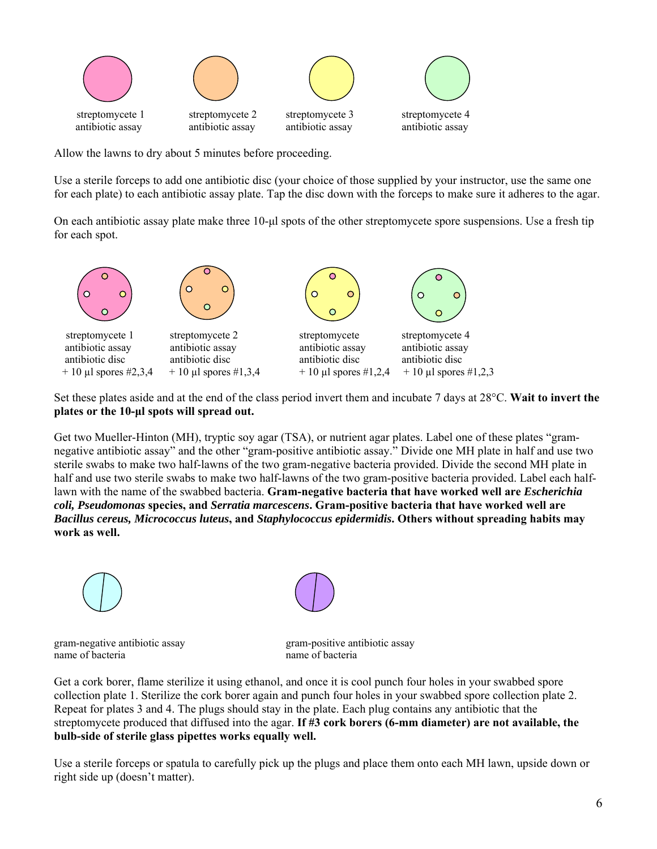

Allow the lawns to dry about 5 minutes before proceeding.

Use a sterile forceps to add one antibiotic disc (your choice of those supplied by your instructor, use the same one for each plate) to each antibiotic assay plate. Tap the disc down with the forceps to make sure it adheres to the agar.

On each antibiotic assay plate make three 10-μl spots of the other streptomycete spore suspensions. Use a fresh tip for each spot.



Set these plates aside and at the end of the class period invert them and incubate 7 days at 28°C. **Wait to invert the plates or the 10-μl spots will spread out.** 

Get two Mueller-Hinton (MH), tryptic soy agar (TSA), or nutrient agar plates. Label one of these plates "gramnegative antibiotic assay" and the other "gram-positive antibiotic assay." Divide one MH plate in half and use two sterile swabs to make two half-lawns of the two gram-negative bacteria provided. Divide the second MH plate in half and use two sterile swabs to make two half-lawns of the two gram-positive bacteria provided. Label each halflawn with the name of the swabbed bacteria. **Gram-negative bacteria that have worked well are** *Escherichia coli, Pseudomonas* **species, and** *Serratia marcescens***. Gram-positive bacteria that have worked well are**  *Bacillus cereus, Micrococcus luteus***, and** *Staphylococcus epidermidis***. Others without spreading habits may work as well.** 



gram-negative antibiotic assay gram-positive antibiotic assay name of bacteria name of bacteria

Get a cork borer, flame sterilize it using ethanol, and once it is cool punch four holes in your swabbed spore collection plate 1. Sterilize the cork borer again and punch four holes in your swabbed spore collection plate 2. Repeat for plates 3 and 4. The plugs should stay in the plate. Each plug contains any antibiotic that the streptomycete produced that diffused into the agar. **If #3 cork borers (6-mm diameter) are not available, the bulb-side of sterile glass pipettes works equally well.** 

Use a sterile forceps or spatula to carefully pick up the plugs and place them onto each MH lawn, upside down or right side up (doesn't matter).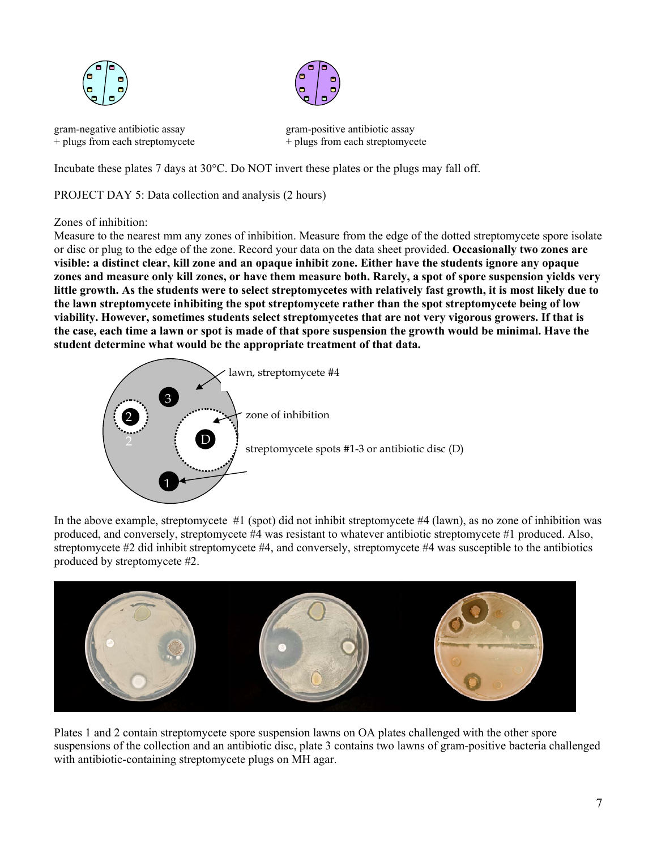



+ plugs from each streptomycete  $+$  plugs from each streptomycete

gram-negative antibiotic assay gram-positive antibiotic assay

Incubate these plates 7 days at 30°C. Do NOT invert these plates or the plugs may fall off.

PROJECT DAY 5: Data collection and analysis (2 hours)

Zones of inhibition:

Measure to the nearest mm any zones of inhibition. Measure from the edge of the dotted streptomycete spore isolate or disc or plug to the edge of the zone. Record your data on the data sheet provided. **Occasionally two zones are visible: a distinct clear, kill zone and an opaque inhibit zone. Either have the students ignore any opaque zones and measure only kill zones, or have them measure both. Rarely, a spot of spore suspension yields very little growth. As the students were to select streptomycetes with relatively fast growth, it is most likely due to the lawn streptomycete inhibiting the spot streptomycete rather than the spot streptomycete being of low viability. However, sometimes students select streptomycetes that are not very vigorous growers. If that is the case, each time a lawn or spot is made of that spore suspension the growth would be minimal. Have the student determine what would be the appropriate treatment of that data.** 



In the above example, streptomycete #1 (spot) did not inhibit streptomycete #4 (lawn), as no zone of inhibition was produced, and conversely, streptomycete #4 was resistant to whatever antibiotic streptomycete #1 produced. Also, streptomycete #2 did inhibit streptomycete #4, and conversely, streptomycete #4 was susceptible to the antibiotics produced by streptomycete #2.



Plates 1 and 2 contain streptomycete spore suspension lawns on OA plates challenged with the other spore suspensions of the collection and an antibiotic disc, plate 3 contains two lawns of gram-positive bacteria challenged with antibiotic-containing streptomycete plugs on MH agar.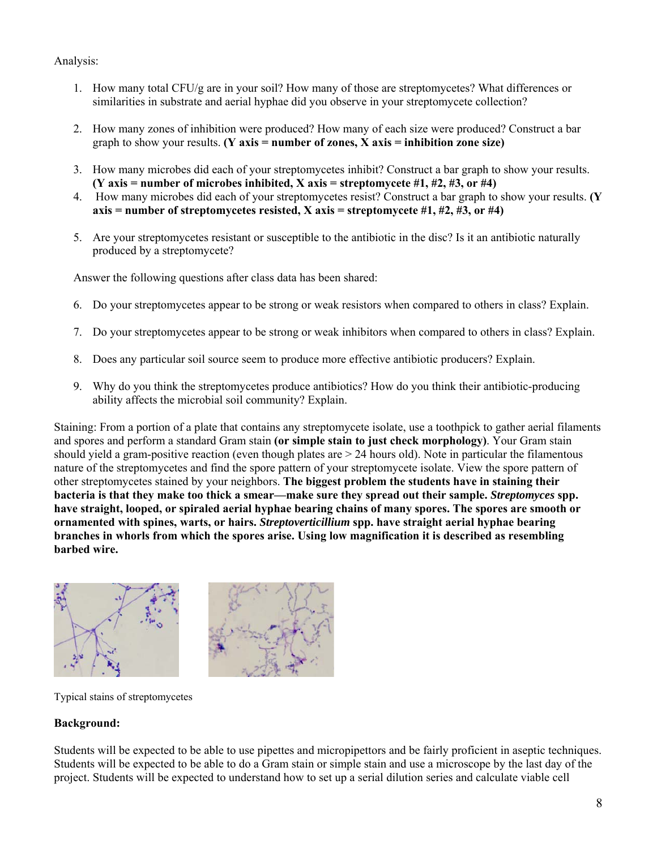Analysis:

- 1. How many total CFU/g are in your soil? How many of those are streptomycetes? What differences or similarities in substrate and aerial hyphae did you observe in your streptomycete collection?
- 2. How many zones of inhibition were produced? How many of each size were produced? Construct a bar graph to show your results. **(Y** axis = number of zones, X axis = inhibition zone size)
- 3. How many microbes did each of your streptomycetes inhibit? Construct a bar graph to show your results. **(Y axis = number of microbes inhibited, X axis = streptomycete #1, #2, #3, or #4)**
- 4. How many microbes did each of your streptomycetes resist? Construct a bar graph to show your results. **(Y axis = number of streptomycetes resisted, X axis = streptomycete #1, #2, #3, or #4)**
- 5. Are your streptomycetes resistant or susceptible to the antibiotic in the disc? Is it an antibiotic naturally produced by a streptomycete?

Answer the following questions after class data has been shared:

- 6. Do your streptomycetes appear to be strong or weak resistors when compared to others in class? Explain.
- 7. Do your streptomycetes appear to be strong or weak inhibitors when compared to others in class? Explain.
- 8. Does any particular soil source seem to produce more effective antibiotic producers? Explain.
- 9. Why do you think the streptomycetes produce antibiotics? How do you think their antibiotic-producing ability affects the microbial soil community? Explain.

Staining: From a portion of a plate that contains any streptomycete isolate, use a toothpick to gather aerial filaments and spores and perform a standard Gram stain **(or simple stain to just check morphology)**. Your Gram stain should yield a gram-positive reaction (even though plates are > 24 hours old). Note in particular the filamentous nature of the streptomycetes and find the spore pattern of your streptomycete isolate. View the spore pattern of other streptomycetes stained by your neighbors. **The biggest problem the students have in staining their bacteria is that they make too thick a smear—make sure they spread out their sample.** *Streptomyces* **spp. have straight, looped, or spiraled aerial hyphae bearing chains of many spores. The spores are smooth or ornamented with spines, warts, or hairs.** *Streptoverticillium* **spp. have straight aerial hyphae bearing branches in whorls from which the spores arise. Using low magnification it is described as resembling barbed wire.** 



Typical stains of streptomycetes

# **Background:**

Students will be expected to be able to use pipettes and micropipettors and be fairly proficient in aseptic techniques. Students will be expected to be able to do a Gram stain or simple stain and use a microscope by the last day of the project. Students will be expected to understand how to set up a serial dilution series and calculate viable cell